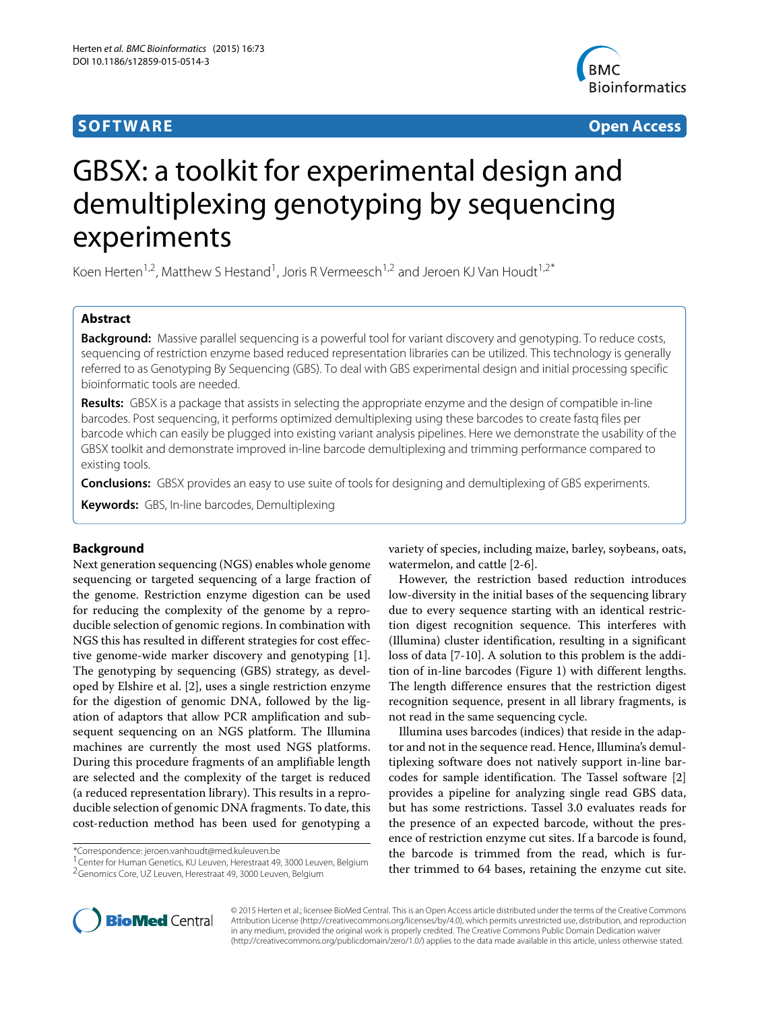## **SOFTWARE Open Access**



# GBSX: a toolkit for experimental design and demultiplexing genotyping by sequencing experiments

Koen Herten<sup>1,2</sup>, Matthew S Hestand<sup>1</sup>, Joris R Vermeesch<sup>1,2</sup> and Jeroen KJ Van Houdt<sup>1,2\*</sup>

## **Abstract**

**Background:** Massive parallel sequencing is a powerful tool for variant discovery and genotyping. To reduce costs, sequencing of restriction enzyme based reduced representation libraries can be utilized. This technology is generally referred to as Genotyping By Sequencing (GBS). To deal with GBS experimental design and initial processing specific bioinformatic tools are needed.

**Results:** GBSX is a package that assists in selecting the appropriate enzyme and the design of compatible in-line barcodes. Post sequencing, it performs optimized demultiplexing using these barcodes to create fastq files per barcode which can easily be plugged into existing variant analysis pipelines. Here we demonstrate the usability of the GBSX toolkit and demonstrate improved in-line barcode demultiplexing and trimming performance compared to existing tools.

**Conclusions:** GBSX provides an easy to use suite of tools for designing and demultiplexing of GBS experiments.

**Keywords:** GBS, In-line barcodes, Demultiplexing

## **Background**

Next generation sequencing (NGS) enables whole genome sequencing or targeted sequencing of a large fraction of the genome. Restriction enzyme digestion can be used for reducing the complexity of the genome by a reproducible selection of genomic regions. In combination with NGS this has resulted in different strategies for cost effective genome-wide marker discovery and genotyping [\[1\]](#page-5-0). The genotyping by sequencing (GBS) strategy, as developed by Elshire et al. [\[2\]](#page-5-1), uses a single restriction enzyme for the digestion of genomic DNA, followed by the ligation of adaptors that allow PCR amplification and subsequent sequencing on an NGS platform. The Illumina machines are currently the most used NGS platforms. During this procedure fragments of an amplifiable length are selected and the complexity of the target is reduced (a reduced representation library). This results in a reproducible selection of genomic DNA fragments. To date, this cost-reduction method has been used for genotyping a

<sup>1</sup> Center for Human Genetics, KU Leuven, Herestraat 49, 3000 Leuven, Belgium 2Genomics Core, UZ Leuven, Herestraat 49, 3000 Leuven, Belgium

variety of species, including maize, barley, soybeans, oats, watermelon, and cattle [\[2](#page-5-1)[-6\]](#page-5-2).

However, the restriction based reduction introduces low-diversity in the initial bases of the sequencing library due to every sequence starting with an identical restriction digest recognition sequence. This interferes with (Illumina) cluster identification, resulting in a significant loss of data [\[7](#page-5-3)[-10\]](#page-5-4). A solution to this problem is the addition of in-line barcodes (Figure [1\)](#page-1-0) with different lengths. The length difference ensures that the restriction digest recognition sequence, present in all library fragments, is not read in the same sequencing cycle.

Illumina uses barcodes (indices) that reside in the adaptor and not in the sequence read. Hence, Illumina's demultiplexing software does not natively support in-line barcodes for sample identification. The Tassel software [\[2\]](#page-5-1) provides a pipeline for analyzing single read GBS data, but has some restrictions. Tassel 3.0 evaluates reads for the presence of an expected barcode, without the presence of restriction enzyme cut sites. If a barcode is found, the barcode is trimmed from the read, which is further trimmed to 64 bases, retaining the enzyme cut site.



© 2015 Herten et al.; licensee BioMed Central. This is an Open Access article distributed under the terms of the Creative Commons Attribution License [\(http://creativecommons.org/licenses/by/4.0\)](http://creativecommons.org/licenses/by/4.0), which permits unrestricted use, distribution, and reproduction in any medium, provided the original work is properly credited. The Creative Commons Public Domain Dedication waiver [\(http://creativecommons.org/publicdomain/zero/1.0/\)](http://creativecommons.org/publicdomain/zero/1.0/) applies to the data made available in this article, unless otherwise stated.

<sup>\*</sup>Correspondence: jeroen.vanhoudt@med.kuleuven.be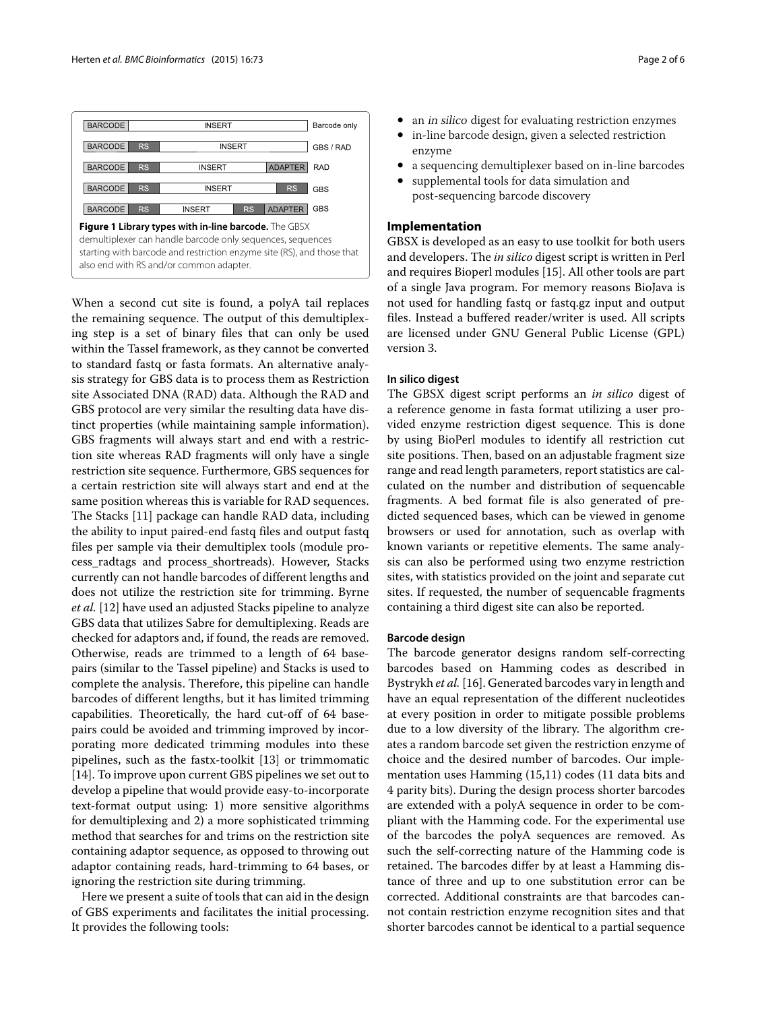

<span id="page-1-0"></span>When a second cut site is found, a polyA tail replaces the remaining sequence. The output of this demultiplexing step is a set of binary files that can only be used within the Tassel framework, as they cannot be converted to standard fastq or fasta formats. An alternative analysis strategy for GBS data is to process them as Restriction site Associated DNA (RAD) data. Although the RAD and GBS protocol are very similar the resulting data have distinct properties (while maintaining sample information). GBS fragments will always start and end with a restriction site whereas RAD fragments will only have a single restriction site sequence. Furthermore, GBS sequences for a certain restriction site will always start and end at the same position whereas this is variable for RAD sequences. The Stacks [\[11\]](#page-5-5) package can handle RAD data, including the ability to input paired-end fastq files and output fastq files per sample via their demultiplex tools (module process\_radtags and process\_shortreads). However, Stacks currently can not handle barcodes of different lengths and does not utilize the restriction site for trimming. Byrne *et al.* [\[12\]](#page-5-6) have used an adjusted Stacks pipeline to analyze GBS data that utilizes Sabre for demultiplexing. Reads are checked for adaptors and, if found, the reads are removed. Otherwise, reads are trimmed to a length of 64 basepairs (similar to the Tassel pipeline) and Stacks is used to complete the analysis. Therefore, this pipeline can handle barcodes of different lengths, but it has limited trimming capabilities. Theoretically, the hard cut-off of 64 basepairs could be avoided and trimming improved by incorporating more dedicated trimming modules into these pipelines, such as the fastx-toolkit [\[13\]](#page-5-7) or trimmomatic [\[14\]](#page-5-8). To improve upon current GBS pipelines we set out to develop a pipeline that would provide easy-to-incorporate text-format output using: 1) more sensitive algorithms for demultiplexing and 2) a more sophisticated trimming method that searches for and trims on the restriction site containing adaptor sequence, as opposed to throwing out adaptor containing reads, hard-trimming to 64 bases, or ignoring the restriction site during trimming.

Here we present a suite of tools that can aid in the design of GBS experiments and facilitates the initial processing. It provides the following tools:

- an in silico digest for evaluating restriction enzymes
- in-line barcode design, given a selected restriction enzyme
- a sequencing demultiplexer based on in-line barcodes
- supplemental tools for data simulation and post-sequencing barcode discovery

## **Implementation**

GBSX is developed as an easy to use toolkit for both users and developers. The *in silico* digest script is written in Perl and requires Bioperl modules [\[15\]](#page-5-9). All other tools are part of a single Java program. For memory reasons BioJava is not used for handling fastq or fastq.gz input and output files. Instead a buffered reader/writer is used. All scripts are licensed under GNU General Public License (GPL) version 3.

#### **In silico digest**

The GBSX digest script performs an *in silico* digest of a reference genome in fasta format utilizing a user provided enzyme restriction digest sequence. This is done by using BioPerl modules to identify all restriction cut site positions. Then, based on an adjustable fragment size range and read length parameters, report statistics are calculated on the number and distribution of sequencable fragments. A bed format file is also generated of predicted sequenced bases, which can be viewed in genome browsers or used for annotation, such as overlap with known variants or repetitive elements. The same analysis can also be performed using two enzyme restriction sites, with statistics provided on the joint and separate cut sites. If requested, the number of sequencable fragments containing a third digest site can also be reported.

#### **Barcode design**

The barcode generator designs random self-correcting barcodes based on Hamming codes as described in Bystrykh *et al.* [\[16\]](#page-5-10). Generated barcodes vary in length and have an equal representation of the different nucleotides at every position in order to mitigate possible problems due to a low diversity of the library. The algorithm creates a random barcode set given the restriction enzyme of choice and the desired number of barcodes. Our implementation uses Hamming (15,11) codes (11 data bits and 4 parity bits). During the design process shorter barcodes are extended with a polyA sequence in order to be compliant with the Hamming code. For the experimental use of the barcodes the polyA sequences are removed. As such the self-correcting nature of the Hamming code is retained. The barcodes differ by at least a Hamming distance of three and up to one substitution error can be corrected. Additional constraints are that barcodes cannot contain restriction enzyme recognition sites and that shorter barcodes cannot be identical to a partial sequence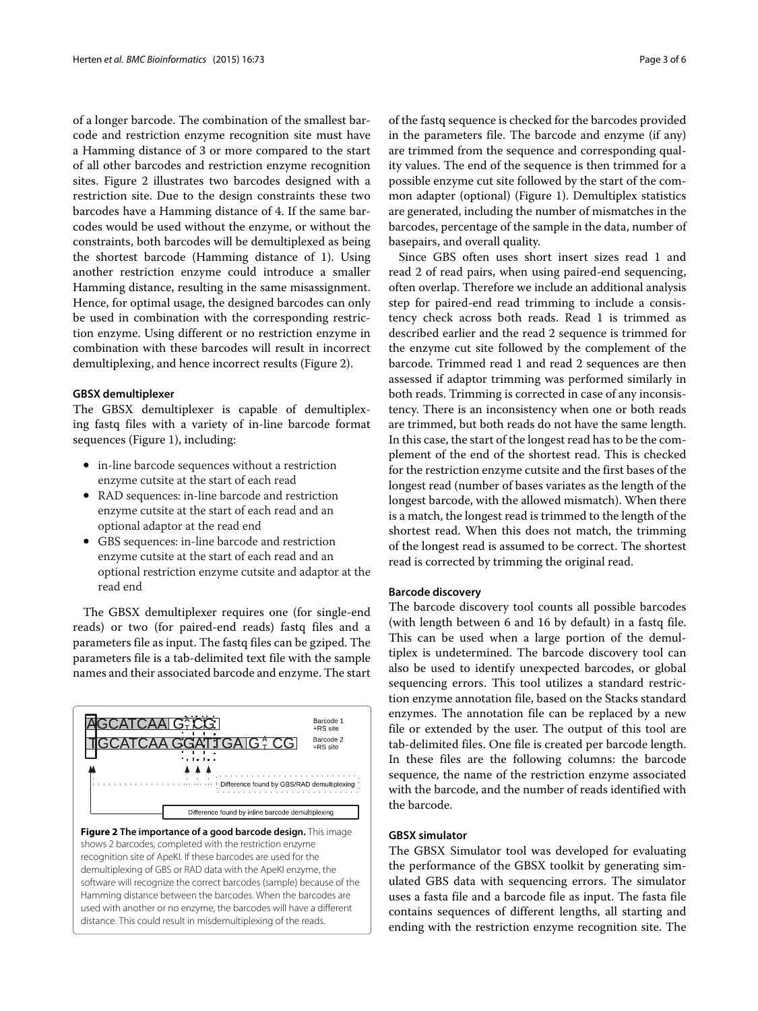of a longer barcode. The combination of the smallest barcode and restriction enzyme recognition site must have a Hamming distance of 3 or more compared to the start of all other barcodes and restriction enzyme recognition sites. Figure [2](#page-2-0) illustrates two barcodes designed with a restriction site. Due to the design constraints these two barcodes have a Hamming distance of 4. If the same barcodes would be used without the enzyme, or without the constraints, both barcodes will be demultiplexed as being the shortest barcode (Hamming distance of 1). Using another restriction enzyme could introduce a smaller Hamming distance, resulting in the same misassignment. Hence, for optimal usage, the designed barcodes can only be used in combination with the corresponding restriction enzyme. Using different or no restriction enzyme in combination with these barcodes will result in incorrect demultiplexing, and hence incorrect results (Figure [2\)](#page-2-0).

#### **GBSX demultiplexer**

The GBSX demultiplexer is capable of demultiplexing fastq files with a variety of in-line barcode format sequences (Figure [1\)](#page-1-0), including:

- in-line barcode sequences without a restriction enzyme cutsite at the start of each read
- RAD sequences: in-line barcode and restriction enzyme cutsite at the start of each read and an optional adaptor at the read end
- GBS sequences: in-line barcode and restriction enzyme cutsite at the start of each read and an optional restriction enzyme cutsite and adaptor at the read end

The GBSX demultiplexer requires one (for single-end reads) or two (for paired-end reads) fastq files and a parameters file as input. The fastq files can be gziped. The parameters file is a tab-delimited text file with the sample names and their associated barcode and enzyme. The start



<span id="page-2-0"></span>demultiplexing of GBS or RAD data with the ApeKI enzyme, the software will recognize the correct barcodes (sample) because of the Hamming distance between the barcodes. When the barcodes are used with another or no enzyme, the barcodes will have a different distance. This could result in misdemultiplexing of the reads.

of the fastq sequence is checked for the barcodes provided in the parameters file. The barcode and enzyme (if any) are trimmed from the sequence and corresponding quality values. The end of the sequence is then trimmed for a possible enzyme cut site followed by the start of the common adapter (optional) (Figure [1\)](#page-1-0). Demultiplex statistics are generated, including the number of mismatches in the barcodes, percentage of the sample in the data, number of basepairs, and overall quality.

Since GBS often uses short insert sizes read 1 and read 2 of read pairs, when using paired-end sequencing, often overlap. Therefore we include an additional analysis step for paired-end read trimming to include a consistency check across both reads. Read 1 is trimmed as described earlier and the read 2 sequence is trimmed for the enzyme cut site followed by the complement of the barcode. Trimmed read 1 and read 2 sequences are then assessed if adaptor trimming was performed similarly in both reads. Trimming is corrected in case of any inconsistency. There is an inconsistency when one or both reads are trimmed, but both reads do not have the same length. In this case, the start of the longest read has to be the complement of the end of the shortest read. This is checked for the restriction enzyme cutsite and the first bases of the longest read (number of bases variates as the length of the longest barcode, with the allowed mismatch). When there is a match, the longest read is trimmed to the length of the shortest read. When this does not match, the trimming of the longest read is assumed to be correct. The shortest read is corrected by trimming the original read.

### **Barcode discovery**

The barcode discovery tool counts all possible barcodes (with length between 6 and 16 by default) in a fastq file. This can be used when a large portion of the demultiplex is undetermined. The barcode discovery tool can also be used to identify unexpected barcodes, or global sequencing errors. This tool utilizes a standard restriction enzyme annotation file, based on the Stacks standard enzymes. The annotation file can be replaced by a new file or extended by the user. The output of this tool are tab-delimited files. One file is created per barcode length. In these files are the following columns: the barcode sequence, the name of the restriction enzyme associated with the barcode, and the number of reads identified with the barcode.

#### **GBSX simulator**

The GBSX Simulator tool was developed for evaluating the performance of the GBSX toolkit by generating simulated GBS data with sequencing errors. The simulator uses a fasta file and a barcode file as input. The fasta file contains sequences of different lengths, all starting and ending with the restriction enzyme recognition site. The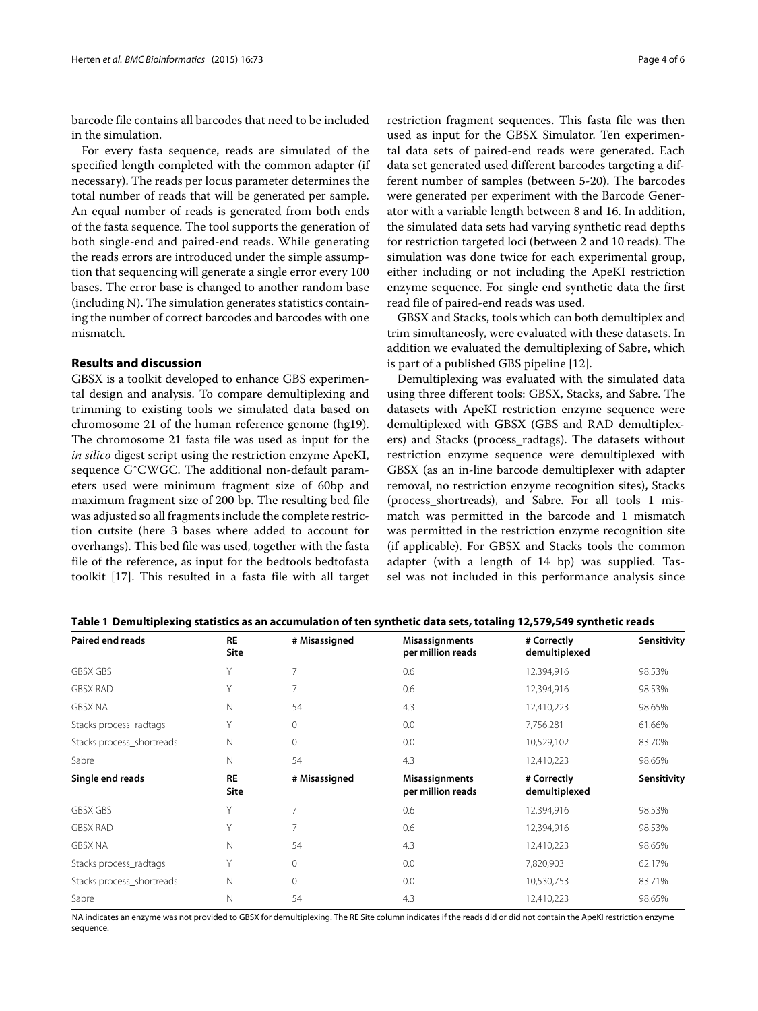barcode file contains all barcodes that need to be included in the simulation.

For every fasta sequence, reads are simulated of the specified length completed with the common adapter (if necessary). The reads per locus parameter determines the total number of reads that will be generated per sample. An equal number of reads is generated from both ends of the fasta sequence. The tool supports the generation of both single-end and paired-end reads. While generating the reads errors are introduced under the simple assumption that sequencing will generate a single error every 100 bases. The error base is changed to another random base (including N). The simulation generates statistics containing the number of correct barcodes and barcodes with one mismatch.

## **Results and discussion**

GBSX is a toolkit developed to enhance GBS experimental design and analysis. To compare demultiplexing and trimming to existing tools we simulated data based on chromosome 21 of the human reference genome (hg19). The chromosome 21 fasta file was used as input for the *in silico* digest script using the restriction enzyme ApeKI, sequence GˆCWGC. The additional non-default parameters used were minimum fragment size of 60bp and maximum fragment size of 200 bp. The resulting bed file was adjusted so all fragments include the complete restriction cutsite (here 3 bases where added to account for overhangs). This bed file was used, together with the fasta file of the reference, as input for the bedtools bedtofasta toolkit [\[17\]](#page-5-11). This resulted in a fasta file with all target restriction fragment sequences. This fasta file was then used as input for the GBSX Simulator. Ten experimental data sets of paired-end reads were generated. Each data set generated used different barcodes targeting a different number of samples (between 5-20). The barcodes were generated per experiment with the Barcode Generator with a variable length between 8 and 16. In addition, the simulated data sets had varying synthetic read depths for restriction targeted loci (between 2 and 10 reads). The simulation was done twice for each experimental group, either including or not including the ApeKI restriction enzyme sequence. For single end synthetic data the first read file of paired-end reads was used.

GBSX and Stacks, tools which can both demultiplex and trim simultaneosly, were evaluated with these datasets. In addition we evaluated the demultiplexing of Sabre, which is part of a published GBS pipeline [\[12\]](#page-5-6).

Demultiplexing was evaluated with the simulated data using three different tools: GBSX, Stacks, and Sabre. The datasets with ApeKI restriction enzyme sequence were demultiplexed with GBSX (GBS and RAD demultiplexers) and Stacks (process\_radtags). The datasets without restriction enzyme sequence were demultiplexed with GBSX (as an in-line barcode demultiplexer with adapter removal, no restriction enzyme recognition sites), Stacks (process\_shortreads), and Sabre. For all tools 1 mismatch was permitted in the barcode and 1 mismatch was permitted in the restriction enzyme recognition site (if applicable). For GBSX and Stacks tools the common adapter (with a length of 14 bp) was supplied. Tassel was not included in this performance analysis since

<span id="page-3-0"></span>

| Paired end reads          | <b>RE</b><br>Site | # Misassigned  | <b>Misassignments</b><br>per million reads | # Correctly<br>demultiplexed | Sensitivity |
|---------------------------|-------------------|----------------|--------------------------------------------|------------------------------|-------------|
| <b>GBSX GBS</b>           | Y                 | 7              | 0.6                                        | 12,394,916                   | 98.53%      |
| <b>GBSX RAD</b>           | Υ                 | 7              | 0.6                                        | 12,394,916                   | 98.53%      |
| <b>GBSX NA</b>            | $\mathsf{N}$      | 54             | 4.3                                        | 12,410,223                   | 98.65%      |
| Stacks process_radtags    | Υ                 | $\mathbf{0}$   | 0.0                                        | 7,756,281                    | 61.66%      |
| Stacks process_shortreads | $\mathsf{N}$      | $\mathbf{0}$   | 0.0                                        | 10,529,102                   | 83.70%      |
| Sabre                     | Ν                 | 54             | 4.3                                        | 12,410,223                   | 98.65%      |
| Single end reads          | <b>RE</b><br>Site | # Misassigned  | <b>Misassignments</b><br>per million reads | # Correctly<br>demultiplexed | Sensitivity |
| <b>GBSX GBS</b>           | Υ                 | $\overline{7}$ | 0.6                                        | 12,394,916                   | 98.53%      |
| <b>GBSX RAD</b>           | Y                 | 7              | 0.6                                        | 12,394,916                   | 98.53%      |
| <b>GBSX NA</b>            | N                 | 54             | 4.3                                        | 12,410,223                   | 98.65%      |
| Stacks process_radtags    | Y                 | $\mathbf{0}$   | 0.0                                        | 7,820,903                    | 62.17%      |
| Stacks process_shortreads | $\mathbb N$       | $\Omega$       | 0.0                                        | 10,530,753                   | 83.71%      |
| Sabre                     | Ν                 | 54             | 4.3                                        | 12,410,223                   | 98.65%      |

**Table 1 Demultiplexing statistics as an accumulation of ten synthetic data sets, totaling 12,579,549 synthetic reads**

NA indicates an enzyme was not provided to GBSX for demultiplexing. The RE Site column indicates if the reads did or did not contain the ApeKI restriction enzyme sequence.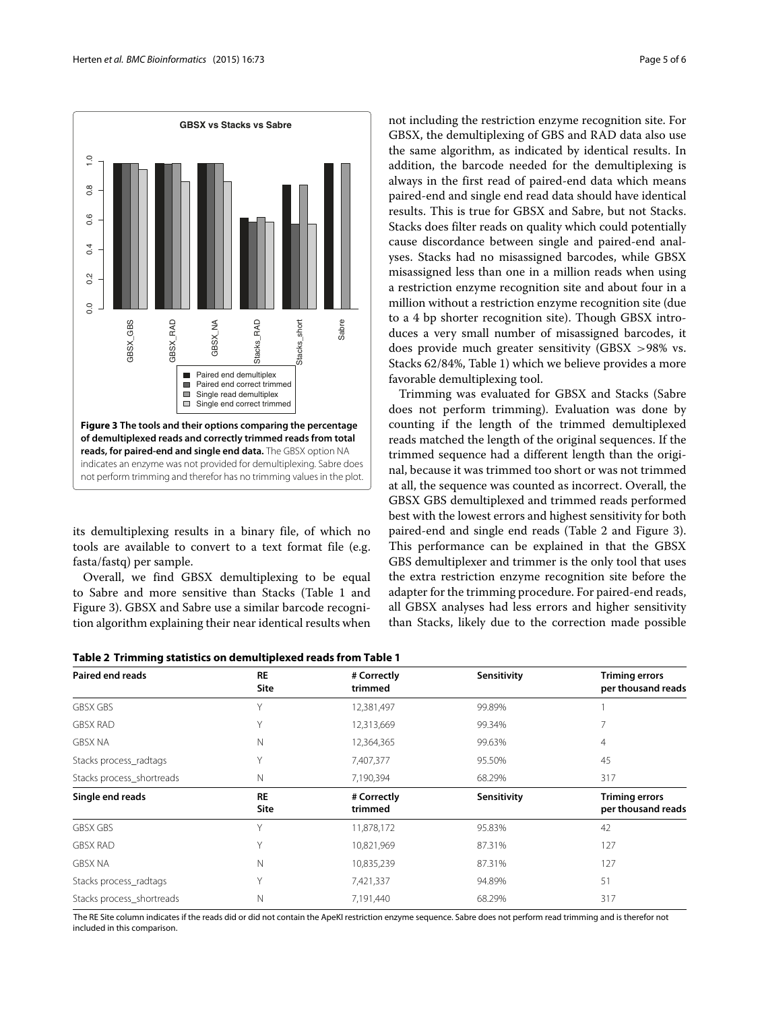

<span id="page-4-0"></span>its demultiplexing results in a binary file, of which no tools are available to convert to a text format file (e.g. fasta/fastq) per sample.

Overall, we find GBSX demultiplexing to be equal to Sabre and more sensitive than Stacks (Table [1](#page-3-0) and Figure [3\)](#page-4-0). GBSX and Sabre use a similar barcode recognition algorithm explaining their near identical results when

<span id="page-4-1"></span>

| Table 2 Trimming statistics on demultiplexed reads from Table 1 |  |  |  |  |
|-----------------------------------------------------------------|--|--|--|--|
|-----------------------------------------------------------------|--|--|--|--|

not including the restriction enzyme recognition site. For GBSX, the demultiplexing of GBS and RAD data also use the same algorithm, as indicated by identical results. In addition, the barcode needed for the demultiplexing is always in the first read of paired-end data which means paired-end and single end read data should have identical results. This is true for GBSX and Sabre, but not Stacks. Stacks does filter reads on quality which could potentially cause discordance between single and paired-end analyses. Stacks had no misassigned barcodes, while GBSX misassigned less than one in a million reads when using a restriction enzyme recognition site and about four in a million without a restriction enzyme recognition site (due to a 4 bp shorter recognition site). Though GBSX introduces a very small number of misassigned barcodes, it does provide much greater sensitivity (GBSX >98% vs. Stacks 62/84%, Table [1\)](#page-3-0) which we believe provides a more favorable demultiplexing tool.

Trimming was evaluated for GBSX and Stacks (Sabre does not perform trimming). Evaluation was done by counting if the length of the trimmed demultiplexed reads matched the length of the original sequences. If the trimmed sequence had a different length than the original, because it was trimmed too short or was not trimmed at all, the sequence was counted as incorrect. Overall, the GBSX GBS demultiplexed and trimmed reads performed best with the lowest errors and highest sensitivity for both paired-end and single end reads (Table [2](#page-4-1) and Figure [3\)](#page-4-0). This performance can be explained in that the GBSX GBS demultiplexer and trimmer is the only tool that uses the extra restriction enzyme recognition site before the adapter for the trimming procedure. For paired-end reads, all GBSX analyses had less errors and higher sensitivity than Stacks, likely due to the correction made possible

| <b>Paired end reads</b>   | <b>RE</b><br>Site | # Correctly<br>trimmed | Sensitivity | <b>Triming errors</b><br>per thousand reads |
|---------------------------|-------------------|------------------------|-------------|---------------------------------------------|
| <b>GBSX GBS</b>           | v                 | 12,381,497             | 99.89%      |                                             |
| <b>GBSX RAD</b>           | Υ                 | 12,313,669             | 99.34%      | 7                                           |
| <b>GBSX NA</b>            | N                 | 12,364,365             | 99.63%      | 4                                           |
| Stacks process_radtags    | Υ                 | 7,407,377              | 95.50%      | 45                                          |
| Stacks process_shortreads | Ν                 | 7,190,394              | 68.29%      | 317                                         |
| Single end reads          | <b>RE</b><br>Site | # Correctly<br>trimmed | Sensitivity | <b>Triming errors</b><br>per thousand reads |
| <b>GBSX GBS</b>           | $\vee$            | 11,878,172             | 95.83%      | 42                                          |
| <b>GBSX RAD</b>           | Y                 | 10,821,969             | 87.31%      | 127                                         |
| <b>GBSX NA</b>            | N                 | 10,835,239             | 87.31%      | 127                                         |
| Stacks process_radtags    | Υ                 | 7,421,337              | 94.89%      | 51                                          |
| Stacks process_shortreads | N                 | 7,191,440              | 68.29%      | 317                                         |

The RE Site column indicates if the reads did or did not contain the ApeKI restriction enzyme sequence. Sabre does not perform read trimming and is therefor not included in this comparison.